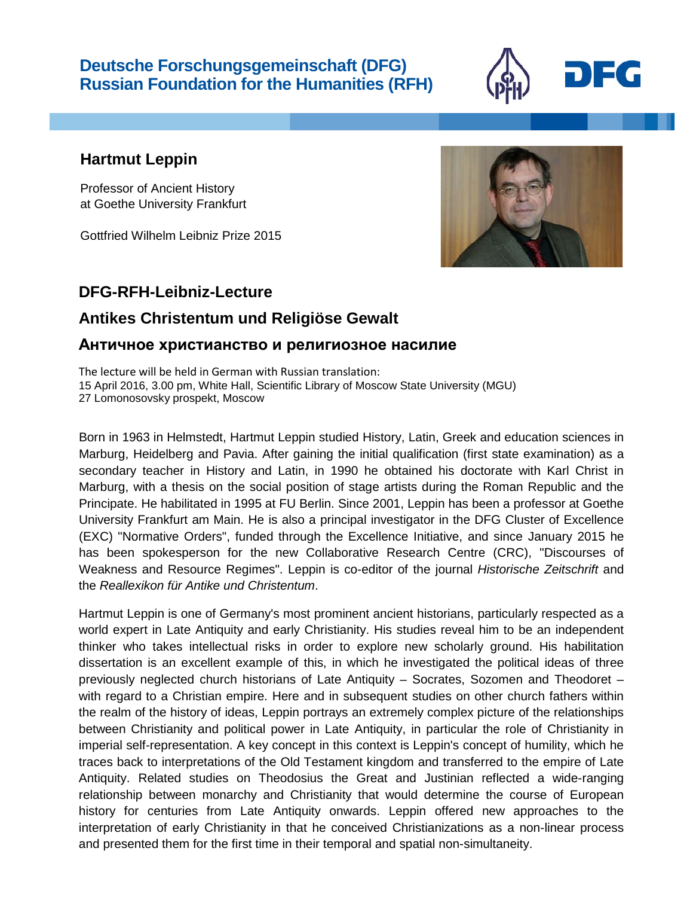## **Deutsche Forschungsgemeinschaft (DFG) Russian Foundation for the Humanities (RFH)**



Professor of Ancient History at Goethe University Frankfurt

Gottfried Wilhelm Leibniz Prize 2015

## **DFG-RFH-Leibniz-Lecture**

## **Antikes Christentum und Religiöse Gewalt**

## **Античное христианство и религиозное насилие**

The lecture will be held in German with Russian translation: 15 April 2016, 3.00 pm, White Hall, Scientific Library of Moscow State University (MGU) 27 Lomonosovsky prospekt, Moscow

Born in 1963 in Helmstedt, Hartmut Leppin studied History, Latin, Greek and education sciences in Marburg, Heidelberg and Pavia. After gaining the initial qualification (first state examination) as a secondary teacher in History and Latin, in 1990 he obtained his doctorate with Karl Christ in Marburg, with a thesis on the social position of stage artists during the Roman Republic and the Principate. He habilitated in 1995 at FU Berlin. Since 2001, Leppin has been a professor at Goethe University Frankfurt am Main. He is also a principal investigator in the DFG Cluster of Excellence (EXC) "Normative Orders", funded through the Excellence Initiative, and since January 2015 he has been spokesperson for the new Collaborative Research Centre (CRC), "Discourses of Weakness and Resource Regimes". Leppin is co-editor of the journal *Historische Zeitschrift* and the *Reallexikon für Antike und Christentum*.

Hartmut Leppin is one of Germany's most prominent ancient historians, particularly respected as a world expert in Late Antiquity and early Christianity. His studies reveal him to be an independent thinker who takes intellectual risks in order to explore new scholarly ground. His habilitation dissertation is an excellent example of this, in which he investigated the political ideas of three previously neglected church historians of Late Antiquity – Socrates, Sozomen and Theodoret – with regard to a Christian empire. Here and in subsequent studies on other church fathers within the realm of the history of ideas, Leppin portrays an extremely complex picture of the relationships between Christianity and political power in Late Antiquity, in particular the role of Christianity in imperial self-representation. A key concept in this context is Leppin's concept of humility, which he traces back to interpretations of the Old Testament kingdom and transferred to the empire of Late Antiquity. Related studies on Theodosius the Great and Justinian reflected a wide-ranging relationship between monarchy and Christianity that would determine the course of European history for centuries from Late Antiquity onwards. Leppin offered new approaches to the interpretation of early Christianity in that he conceived Christianizations as a non-linear process and presented them for the first time in their temporal and spatial non-simultaneity.